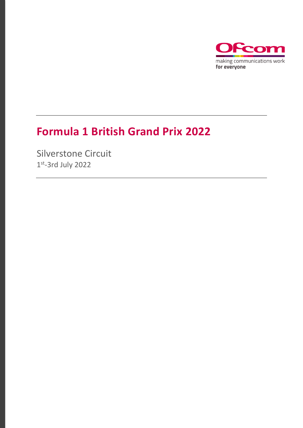

## **Formula 1 British Grand Prix 2022**

Silverstone Circuit 1 st -3rd July 2022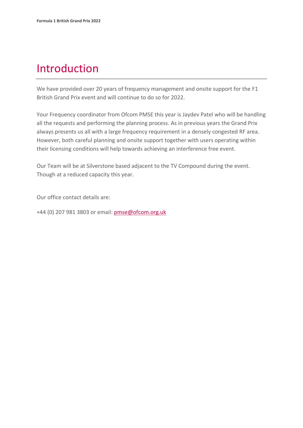## Introduction

We have provided over 20 years of frequency management and onsite support for the F1 British Grand Prix event and will continue to do so for 2022.

Your Frequency coordinator from Ofcom PMSE this year is Jaydev Patel who will be handling all the requests and performing the planning process. As in previous years the Grand Prix always presents us all with a large frequency requirement in a densely congested RF area. However, both careful planning and onsite support together with users operating within their licensing conditions will help towards achieving an interference free event.

Our Team will be at Silverstone based adjacent to the TV Compound during the event. Though at a reduced capacity this year.

Our office contact details are:

+44 (0) 207 981 3803 or email: [pmse@ofcom.org.uk](mailto:pmse@ofcom.org.uk)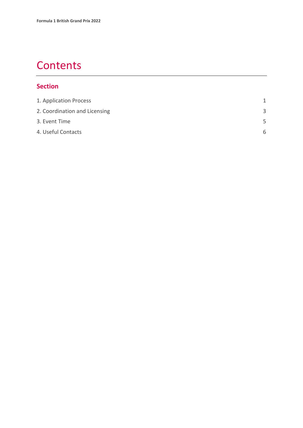## **Contents**

#### **Section**

| 1. Application Process        |    |
|-------------------------------|----|
| 2. Coordination and Licensing | 3  |
| 3. Event Time                 | .5 |
| 4. Useful Contacts            | 6  |
|                               |    |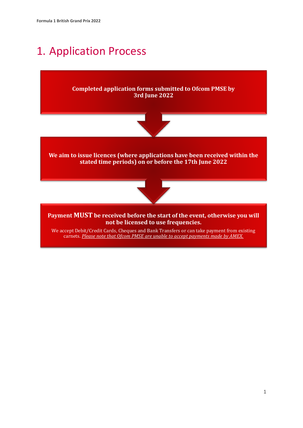## <span id="page-3-0"></span>1. Application Process

**Completed application forms submitted to Ofcom PMSE by 3rd June 2022**



**We aim to issue licences (where applications have been received within the stated time periods) on or before the 17th June 2022**



**Payment MUST be received before the start of the event, otherwise you will not be licensed to use frequencies.**

We accept Debit/Credit Cards, Cheques and Bank Transfers or can take payment from existing carnets. *Please note that Ofcom PMSE are unable to accept payments made by AMEX.*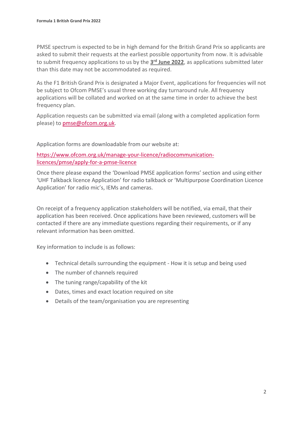PMSE spectrum is expected to be in high demand for the British Grand Prix so applicants are asked to submit their requests at the earliest possible opportunity from now. It is advisable to submit frequency applications to us by the **3 rd June 2022**, as applications submitted later than this date may not be accommodated as required.

As the F1 British Grand Prix is designated a Major Event, applications for frequencies will not be subject to Ofcom PMSE's usual three working day turnaround rule. All frequency applications will be collated and worked on at the same time in order to achieve the best frequency plan.

Application requests can be submitted via email (along with a completed application form please) to [pmse@ofcom.org.uk.](mailto:pmse@ofcom.org.uk)

Application forms are downloadable from our website at:

[https://www.ofcom.org.uk/manage-your-licence/radiocommunication](https://www.ofcom.org.uk/manage-your-licence/radiocommunication-licences/pmse/apply-for-a-pmse-licence)[licences/pmse/apply-for-a-pmse-licence](https://www.ofcom.org.uk/manage-your-licence/radiocommunication-licences/pmse/apply-for-a-pmse-licence)

Once there please expand the 'Download PMSE application forms' section and using either 'UHF Talkback licence Application' for radio talkback or 'Multipurpose Coordination Licence Application' for radio mic's, IEMs and cameras.

On receipt of a frequency application stakeholders will be notified, via email, that their application has been received. Once applications have been reviewed, customers will be contacted if there are any immediate questions regarding their requirements, or if any relevant information has been omitted.

Key information to include is as follows:

- Technical details surrounding the equipment How it is setup and being used
- The number of channels required
- The tuning range/capability of the kit
- Dates, times and exact location required on site
- Details of the team/organisation you are representing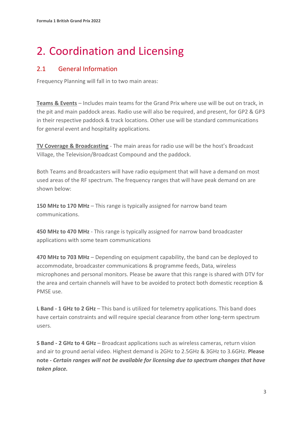# <span id="page-5-0"></span>2. Coordination and Licensing

#### 2.1 General Information

Frequency Planning will fall in to two main areas:

**Teams & Events** – Includes main teams for the Grand Prix where use will be out on track, in the pit and main paddock areas. Radio use will also be required, and present, for GP2 & GP3 in their respective paddock & track locations. Other use will be standard communications for general event and hospitality applications.

**TV Coverage & Broadcasting** - The main areas for radio use will be the host's Broadcast Village, the Television/Broadcast Compound and the paddock.

Both Teams and Broadcasters will have radio equipment that will have a demand on most used areas of the RF spectrum. The frequency ranges that will have peak demand on are shown below:

**150 MHz to 170 MHz** – This range is typically assigned for narrow band team communications.

**450 MHz to 470 MHz** - This range is typically assigned for narrow band broadcaster applications with some team communications

**470 MHz to 703 MHz** – Depending on equipment capability, the band can be deployed to accommodate, broadcaster communications & programme feeds, Data, wireless microphones and personal monitors. Please be aware that this range is shared with DTV for the area and certain channels will have to be avoided to protect both domestic reception & PMSE use.

**L Band - 1 GHz to 2 GHz** – This band is utilized for telemetry applications. This band does have certain constraints and will require special clearance from other long-term spectrum users.

**S Band - 2 GHz to 4 GHz** – Broadcast applications such as wireless cameras, return vision and air to ground aerial video. Highest demand is 2GHz to 2.5GHz & 3GHz to 3.6GHz. **Please note -** *Certain ranges will not be available for licensing due to spectrum changes that have taken place.*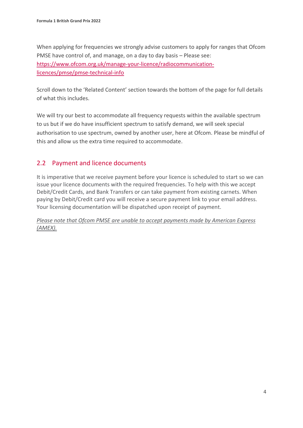When applying for frequencies we strongly advise customers to apply for ranges that Ofcom PMSE have control of, and manage, on a day to day basis – Please see: [https://www.ofcom.org.uk/manage-your-licence/radiocommunication](https://www.ofcom.org.uk/manage-your-licence/radiocommunication-licences/pmse/pmse-technical-info)[licences/pmse/pmse-technical-info](https://www.ofcom.org.uk/manage-your-licence/radiocommunication-licences/pmse/pmse-technical-info)

Scroll down to the 'Related Content' section towards the bottom of the page for full details of what this includes.

We will try our best to accommodate all frequency requests within the available spectrum to us but if we do have insufficient spectrum to satisfy demand, we will seek special authorisation to use spectrum, owned by another user, here at Ofcom. Please be mindful of this and allow us the extra time required to accommodate.

#### 2.2 Payment and licence documents

It is imperative that we receive payment before your licence is scheduled to start so we can issue your licence documents with the required frequencies. To help with this we accept Debit/Credit Cards, and Bank Transfers or can take payment from existing carnets. When paying by Debit/Credit card you will receive a secure payment link to your email address. Your licensing documentation will be dispatched upon receipt of payment.

*Please note that Ofcom PMSE are unable to accept payments made by American Express (AMEX).*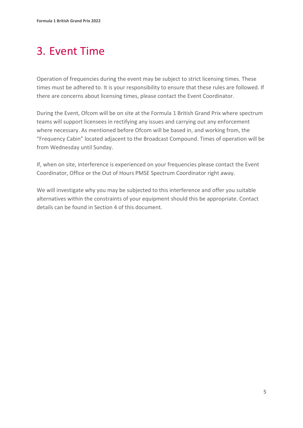## <span id="page-7-0"></span>3. Event Time

Operation of frequencies during the event may be subject to strict licensing times. These times must be adhered to. It is your responsibility to ensure that these rules are followed. If there are concerns about licensing times, please contact the Event Coordinator.

During the Event, Ofcom will be on site at the Formula 1 British Grand Prix where spectrum teams will support licensees in rectifying any issues and carrying out any enforcement where necessary. As mentioned before Ofcom will be based in, and working from, the "Frequency Cabin" located adjacent to the Broadcast Compound. Times of operation will be from Wednesday until Sunday.

If, when on site, interference is experienced on your frequencies please contact the Event Coordinator, Office or the Out of Hours PMSE Spectrum Coordinator right away.

We will investigate why you may be subjected to this interference and offer you suitable alternatives within the constraints of your equipment should this be appropriate. Contact details can be found in Section 4 of this document.